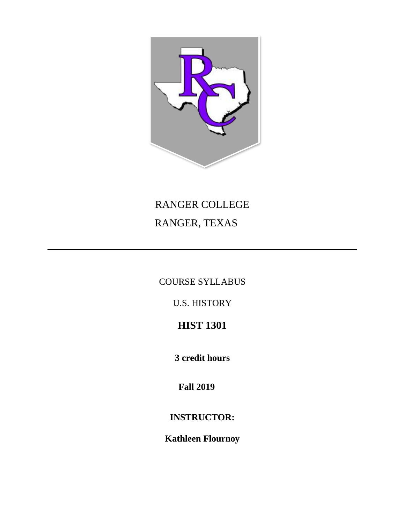

# RANGER COLLEGE RANGER, TEXAS

COURSE SYLLABUS

U.S. HISTORY

## **HIST 1301**

**3 credit hours**

**Fall 2019**

### **INSTRUCTOR:**

**Kathleen Flournoy**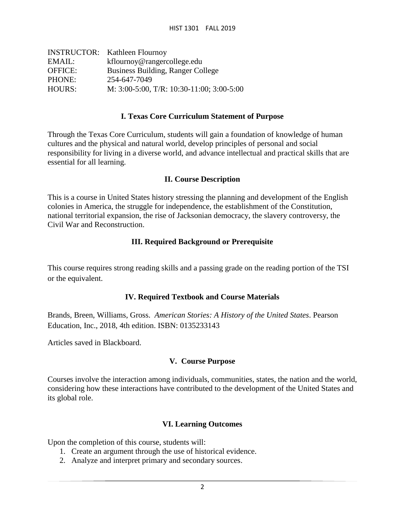|                | <b>INSTRUCTOR:</b> Kathleen Flournoy              |
|----------------|---------------------------------------------------|
| EMAIL:         | kflournoy@rangercollege.edu                       |
| <b>OFFICE:</b> | <b>Business Building, Ranger College</b>          |
| PHONE:         | 254-647-7049                                      |
| HOURS:         | M: $3:00-5:00$ , T/R: $10:30-11:00$ ; $3:00-5:00$ |

#### **I. Texas Core Curriculum Statement of Purpose**

Through the Texas Core Curriculum, students will gain a foundation of knowledge of human cultures and the physical and natural world, develop principles of personal and social responsibility for living in a diverse world, and advance intellectual and practical skills that are essential for all learning.

#### **II. Course Description**

This is a course in United States history stressing the planning and development of the English colonies in America, the struggle for independence, the establishment of the Constitution, national territorial expansion, the rise of Jacksonian democracy, the slavery controversy, the Civil War and Reconstruction.

#### **III. Required Background or Prerequisite**

This course requires strong reading skills and a passing grade on the reading portion of the TSI or the equivalent.

#### **IV. Required Textbook and Course Materials**

Brands, Breen, Williams, Gross. *American Stories: A History of the United States*. Pearson Education, Inc., 2018, 4th edition. ISBN: 0135233143

Articles saved in Blackboard.

#### **V. Course Purpose**

Courses involve the interaction among individuals, communities, states, the nation and the world, considering how these interactions have contributed to the development of the United States and its global role.

#### **VI. Learning Outcomes**

Upon the completion of this course, students will:

- 1. Create an argument through the use of historical evidence.
- 2. Analyze and interpret primary and secondary sources.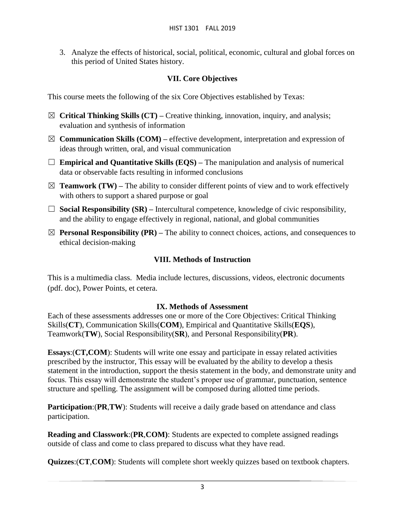3. Analyze the effects of historical, social, political, economic, cultural and global forces on this period of United States history.

#### **VII. Core Objectives**

This course meets the following of the six Core Objectives established by Texas:

- ☒ **Critical Thinking Skills (CT) –** Creative thinking, innovation, inquiry, and analysis; evaluation and synthesis of information
- $\boxtimes$  **Communication Skills (COM)** effective development, interpretation and expression of ideas through written, oral, and visual communication
- □ **Empirical and Quantitative Skills (EQS)** The manipulation and analysis of numerical data or observable facts resulting in informed conclusions
- $\boxtimes$  **Teamwork (TW)** The ability to consider different points of view and to work effectively with others to support a shared purpose or goal
- ☐ **Social Responsibility (SR) –** Intercultural competence, knowledge of civic responsibility, and the ability to engage effectively in regional, national, and global communities
- $\boxtimes$  **Personal Responsibility (PR)** The ability to connect choices, actions, and consequences to ethical decision-making

#### **VIII. Methods of Instruction**

This is a multimedia class. Media include lectures, discussions, videos, electronic documents (pdf. doc), Power Points, et cetera.

#### **IX. Methods of Assessment**

Each of these assessments addresses one or more of the Core Objectives: Critical Thinking Skills(**CT**), Communication Skills(**COM**), Empirical and Quantitative Skills(**EQS**), Teamwork(**TW**), Social Responsibility(**SR**), and Personal Responsibility(**PR**).

**Essays**:(**CT,COM**): Students will write one essay and participate in essay related activities prescribed by the instructor, This essay will be evaluated by the ability to develop a thesis statement in the introduction, support the thesis statement in the body, and demonstrate unity and focus. This essay will demonstrate the student's proper use of grammar, punctuation, sentence structure and spelling. The assignment will be composed during allotted time periods.

**Participation:(PR,TW):** Students will receive a daily grade based on attendance and class participation.

**Reading and Classwork**:(**PR**,**COM)**: Students are expected to complete assigned readings outside of class and come to class prepared to discuss what they have read.

**Quizzes**:(**CT**,**COM**): Students will complete short weekly quizzes based on textbook chapters.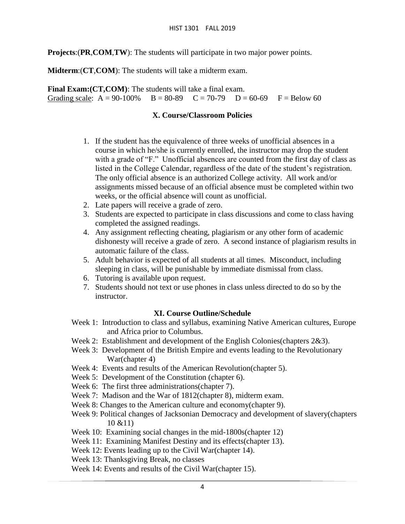**Projects**:(**PR**,**COM**,**TW**): The students will participate in two major power points.

**Midterm**:(**CT**,**COM**): The students will take a midterm exam.

**Final Exam: (CT, COM)**: The students will take a final exam. Grading scale:  $A = 90-100\%$   $B = 80-89$   $C = 70-79$   $D = 60-69$   $F = Below 60$ 

#### **X. Course/Classroom Policies**

- 1. If the student has the equivalence of three weeks of unofficial absences in a course in which he/she is currently enrolled, the instructor may drop the student with a grade of "F." Unofficial absences are counted from the first day of class as listed in the College Calendar, regardless of the date of the student's registration. The only official absence is an authorized College activity. All work and/or assignments missed because of an official absence must be completed within two weeks, or the official absence will count as unofficial.
- 2. Late papers will receive a grade of zero.
- 3. Students are expected to participate in class discussions and come to class having completed the assigned readings.
- 4. Any assignment reflecting cheating, plagiarism or any other form of academic dishonesty will receive a grade of zero. A second instance of plagiarism results in automatic failure of the class.
- 5. Adult behavior is expected of all students at all times. Misconduct, including sleeping in class, will be punishable by immediate dismissal from class.
- 6. Tutoring is available upon request.
- 7. Students should not text or use phones in class unless directed to do so by the instructor.

#### **XI. Course Outline/Schedule**

- Week 1: Introduction to class and syllabus, examining Native American cultures, Europe and Africa prior to Columbus.
- Week 2: Establishment and development of the English Colonies(chapters 2&3).
- Week 3: Development of the British Empire and events leading to the Revolutionary War(chapter 4)
- Week 4: Events and results of the American Revolution(chapter 5).
- Week 5: Development of the Constitution (chapter 6).
- Week 6: The first three administrations(chapter 7).
- Week 7: Madison and the War of 1812(chapter 8), midterm exam.
- Week 8: Changes to the American culture and economy(chapter 9).

Week 9: Political changes of Jacksonian Democracy and development of slavery(chapters 10 &11)

- Week 10: Examining social changes in the mid-1800s(chapter 12)
- Week 11: Examining Manifest Destiny and its effects(chapter 13).
- Week 12: Events leading up to the Civil War(chapter 14).
- Week 13: Thanksgiving Break, no classes
- Week 14: Events and results of the Civil War(chapter 15).